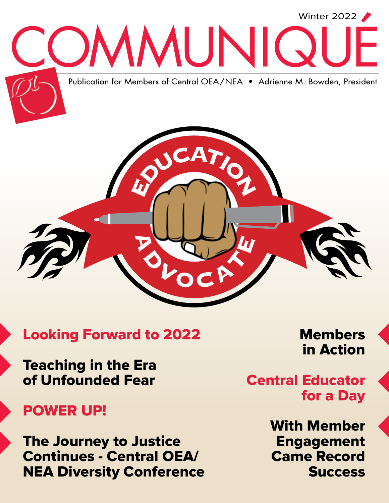

### Looking Forward to 2022

Teaching in the Era of Unfounded Fear

### POWER UP!

The Journey to Justice Continues - Central OEA/ NEA Diversity Conference Members in Action

Central Educator for a Day

> With Member Engagement Came Record Success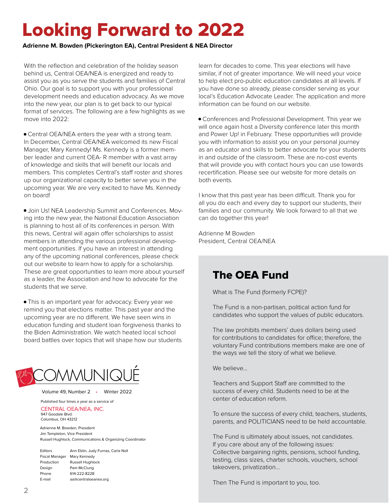## Looking Forward to 2022

**Adrienne M. Bowden (Pickerington EA), Central President & NEA Director**

With the reflection and celebration of the holiday season behind us, Central OEA/NEA is energized and ready to assist you as you serve the students and families of Central Ohio. Our goal is to support you with your professional development needs and education advocacy. As we move into the new year, our plan is to get back to our typical format of services. The following are a few highlights as we move into 2022:

• Central OEA/NEA enters the year with a strong team. In December, Central OEA/NEA welcomed its new Fiscal Manager, Mary Kennedy! Ms. Kennedy is a former member leader and current OEA- R member with a vast array of knowledge and skills that will benefit our locals and members. This completes Central's staff roster and shores up our organizational capacity to better serve you in the upcoming year. We are very excited to have Ms. Kennedy on board!

• Join Us! NEA Leadership Summit and Conferences. Moving into the new year, the National Education Association is planning to host all of its conferences in person. With this news, Central will again offer scholarships to assist members in attending the various professional development opportunities. If you have an interest in attending any of the upcoming national conferences, please check out our website to learn how to apply for a scholarship. These are great opportunities to learn more about yourself as a leader, the Association and how to advocate for the students that we serve.

• This is an important year for advocacy. Every year we remind you that elections matter. This past year and the upcoming year are no different. We have seen wins in education funding and student loan forgiveness thanks to the Biden Administration. We watch heated local school board battles over topics that will shape how our students



Volume 49, Number 2 • Winter 2022

Published four times a year as a service of CENTRAL OEA/NEA, INC. 947 Goodale Blvd. Columbus, OH 43212

Adrienne M. Bowden, President Jim Templeton, Vice President Russell Hughlock, Communications & Organizing Coordinator

Editors Ann Eblin, Judy Furnas, Carla Noll Fiscal Manager Mary Kennedy Production Russell Hughlock Design Pam McClung Phone 614-222-8228 E-mail aa@centraloeanea.org

learn for decades to come. This year elections will have similar, if not of greater importance. We will need your voice to help elect pro-public education candidates at all levels. If you have done so already, please consider serving as your local's Education Advocate Leader. The application and more information can be found on our website.

• Conferences and Professional Development. This year we will once again host a Diversity conference later this month and Power Up! in February. These opportunities will provide you with information to assist you on your personal journey as an educator and skills to better advocate for your students in and outside of the classroom. These are no-cost events that will provide you with contact hours you can use towards recertification. Please see our website for more details on both events.

I know that this past year has been difficult. Thank you for all you do each and every day to support our students, their families and our community. We look forward to all that we can do together this year!

Adrienne M Bowden President, Central OEA/NEA

### The OEA Fund

What is The Fund (formerly FCPE)?

The Fund is a non-partisan, political action fund for candidates who support the values of public educators.

The law prohibits members' dues dollars being used for contributions to candidates for office; therefore, the voluntary Fund contributions members make are one of the ways we tell the story of what we believe.

We believe…

Teachers and Support Staff are committed to the success of every child. Students need to be at the center of education reform.

To ensure the success of every child, teachers, students, parents, and POLITICIANS need to be held accountable.

The Fund is ultimately about issues, not candidates. If you care about any of the following issues: Collective bargaining rights, pensions, school funding, testing, class sizes, charter schools, vouchers, school takeovers, privatization…

Then The Fund is important to you, too.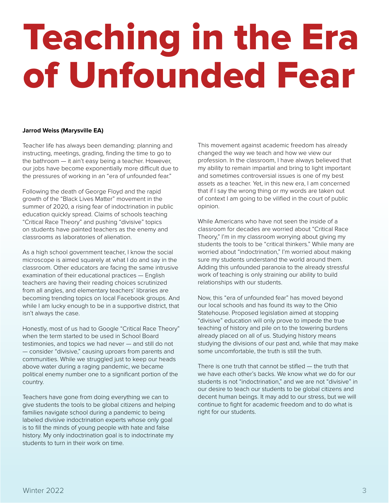# Teaching in the Era of Unfounded Fear

#### **Jarrod Weiss (Marysville EA)**

Teacher life has always been demanding: planning and instructing, meetings, grading, finding the time to go to the bathroom — it ain't easy being a teacher. However, our jobs have become exponentially more difficult due to the pressures of working in an "era of unfounded fear."

Following the death of George Floyd and the rapid growth of the "Black Lives Matter" movement in the summer of 2020, a rising fear of indoctrination in public education quickly spread. Claims of schools teaching "Critical Race Theory" and pushing "divisive" topics on students have painted teachers as the enemy and classrooms as laboratories of alienation.

As a high school government teacher, I know the social microscope is aimed squarely at what I do and say in the classroom. Other educators are facing the same intrusive examination of their educational practices — English teachers are having their reading choices scrutinized from all angles, and elementary teachers' libraries are becoming trending topics on local Facebook groups. And while I am lucky enough to be in a supportive district, that isn't always the case.

Honestly, most of us had to Google "Critical Race Theory" when the term started to be used in School Board testimonies, and topics we had never — and still do not — consider "divisive," causing uproars from parents and communities. While we struggled just to keep our heads above water during a raging pandemic, we became political enemy number one to a significant portion of the country.

Teachers have gone from doing everything we can to give students the tools to be global citizens and helping families navigate school during a pandemic to being labeled divisive indoctrination experts whose only goal is to fill the minds of young people with hate and false history. My only indoctrination goal is to indoctrinate my students to turn in their work on time.

This movement against academic freedom has already changed the way we teach and how we view our profession. In the classroom, I have always believed that my ability to remain impartial and bring to light important and sometimes controversial issues is one of my best assets as a teacher. Yet, in this new era, I am concerned that if I say the wrong thing or my words are taken out of context I am going to be vilified in the court of public opinion.

While Americans who have not seen the inside of a classroom for decades are worried about "Critical Race Theory," I'm in my classroom worrying about giving my students the tools to be "critical thinkers." While many are worried about "indoctrination," I'm worried about making sure my students understand the world around them. Adding this unfounded paranoia to the already stressful work of teaching is only straining our ability to build relationships with our students.

Now, this "era of unfounded fear" has moved beyond our local schools and has found its way to the Ohio Statehouse. Proposed legislation aimed at stopping "divisive" education will only prove to impede the true teaching of history and pile on to the towering burdens already placed on all of us. Studying history means studying the divisions of our past and, while that may make some uncomfortable, the truth is still the truth.

There is one truth that cannot be stifled — the truth that we have each other's backs. We know what we do for our students is not "indoctrination," and we are not "divisive" in our desire to teach our students to be global citizens and decent human beings. It may add to our stress, but we will continue to fight for academic freedom and to do what is right for our students.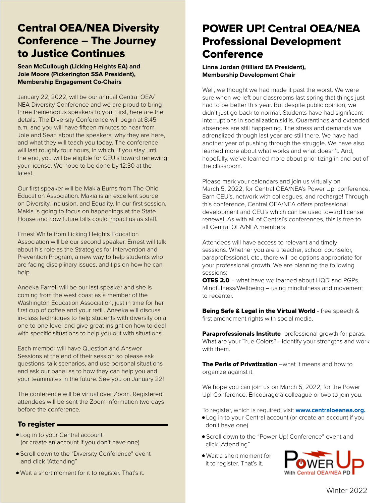#### Central OEA/NEA Diversity Conference – The Journey to Justice Continues

**Sean McCullough (Licking Heights EA) and Joie Moore (Pickerington SSA President), Membership Engagement Co-Chairs**

January 22, 2022, will be our annual Central OEA/ NEA Diversity Conference and we are proud to bring three tremendous speakers to you. First, here are the details: The Diversity Conference will begin at 8:45 a.m. and you will have fifteen minutes to hear from Joie and Sean about the speakers, why they are here, and what they will teach you today. The conference will last roughly four hours, in which, if you stay until the end, you will be eligible for CEU's toward renewing your license. We hope to be done by 12:30 at the latest.

Our first speaker will be Makia Burns from The Ohio Education Association. Makia is an excellent source on Diversity, Inclusion, and Equality. In our first session, Makia is going to focus on happenings at the State House and how future bills could impact us as staff.

Ernest White from Licking Heights Education Association will be our second speaker. Ernest will talk about his role as the Strategies for Intervention and Prevention Program, a new way to help students who are facing disciplinary issues, and tips on how he can help.

Aneeka Farrell will be our last speaker and she is coming from the west coast as a member of the Washington Education Association, just in time for her first cup of coffee and your refill. Aneeka will discuss in-class techniques to help students with diversity on a one-to-one level and give great insight on how to deal with specific situations to help you out with situations.

Each member will have Question and Answer Sessions at the end of their session so please ask questions, talk scenarios, and use personal situations and ask our panel as to how they can help you and your teammates in the future. See you on January 22!

The conference will be virtual over Zoom. Registered attendees will be sent the Zoom information two days before the conference.

#### To register

- Log in to your Central account (or create an account if you don't have one)
- Scroll down to the "Diversity Conference" event and click "Attending"
- Wait a short moment for it to register. That's it.

### POWER UP! Central OEA/NEA Professional Development **Conference**

#### **Linna Jordan (Hilliard EA President), Membership Development Chair**

Well, we thought we had made it past the worst. We were sure when we left our classrooms last spring that things just had to be better this year. But despite public opinion, we didn't just go back to normal. Students have had significant interruptions in socialization skills. Quarantines and extended absences are still happening. The stress and demands we adrenalized through last year are still there. We have had another year of pushing through the struggle. We have also learned more about what works and what doesn't. And, hopefully, we've learned more about prioritizing in and out of the classroom.

Please mark your calendars and join us virtually on March 5, 2022, for Central OEA/NEA's Power Up! conference. Earn CEU's, network with colleagues, and recharge! Through this conference, Central OEA/NEA offers professional development and CEU's which can be used toward license renewal. As with all of Central's conferences, this is free to all Central OEA/NEA members.

Attendees will have access to relevant and timely sessions. Whether you are a teacher, school counselor, paraprofessional, etc., there will be options appropriate for your professional growth. We are planning the following sessions:

**OTES 2.0** – what have we learned about HQD and PGPs. Mindfulness/Wellbeing – using mindfulness and movement to recenter.

Being Safe & Legal in the Virtual World - free speech & first amendment rights with social media.

Paraprofessionals Institute- professional growth for paras. What are your True Colors? –identify your strengths and work with them.

The Perils of Privatization –what it means and how to organize against it.

We hope you can join us on March 5, 2022, for the Power Up! Conference. Encourage a colleague or two to join you.

To register, which is required, visit **www.centraloeanea.org.** 

- Log in to your Central account (or create an account if you don't have one)
- Scroll down to the "Power Up! Conference" event and click "Attending"
- Wait a short moment for it to register. That's it.

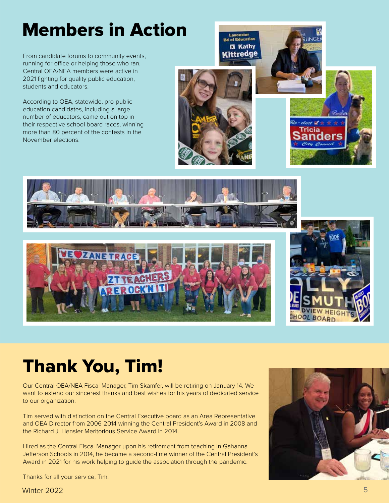## Members in Action

From candidate forums to community events, running for office or helping those who ran, Central OEA/NEA members were active in 2021 fighting for quality public education, students and educators.

According to OEA, statewide, pro-public education candidates, including a large number of educators, came out on top in their respective school board races, winning more than 80 percent of the contests in the November elections.









## Thank You, Tim!

Our Central OEA/NEA Fiscal Manager, Tim Skamfer, will be retiring on January 14. We want to extend our sincerest thanks and best wishes for his years of dedicated service to our organization.

Tim served with distinction on the Central Executive board as an Area Representative and OEA Director from 2006-2014 winning the Central President's Award in 2008 and the Richard J. Hensler Meritorious Service Award in 2014.

Hired as the Central Fiscal Manager upon his retirement from teaching in Gahanna Jefferson Schools in 2014, he became a second-time winner of the Central President's Award in 2021 for his work helping to guide the association through the pandemic.



Thanks for all your service, Tim.

Winter 2022 Winter 2022 55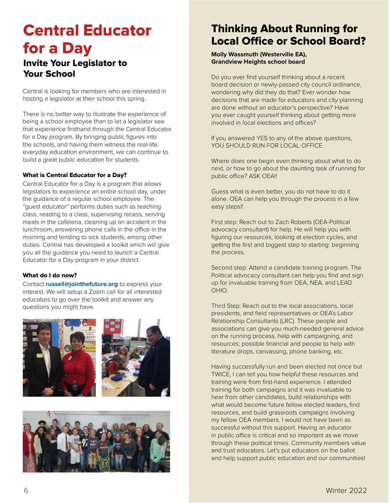### Central Educator for a Day Invite Your Legislator to Your School

Central is looking for members who are interested in hosting a legislator at their school this spring.

There is no better way to illustrate the experience of being a school employee than to let a legislator see that experience firsthand through the Central Educator for a Day program. By bringing public figures into the schools, and having them witness the real-life, everyday education environment, we can continue to build a great public education for students.

#### What is Central Educator for a Day?

Central Educator for a Day is a program that allows legislators to experience an entire school day, under the guidance of a regular school employee. The "guest educator" performs duties such as teaching class, reading to a class, supervising recess, serving meals in the cafeteria, cleaning up an accident in the lunchroom, answering phone calls in the office in the morning and tending to sick students, among other duties. Central has developed a toolkit which will give you all the guidance you need to launch a Central Educator for a Day program in your district.

#### What do I do now?

Contact **russell@jointhefuture.org** to express your interest. We will setup a Zoom call for all interested educators to go over the toolkit and answer any questions you might have.







#### Thinking About Running for Local Office or School Board?

**Molly Wassmuth (Westerville EA), Grandview Heights school board**

Do you ever find yourself thinking about a recent board decision or newly-passed city council ordinance, wondering why did they do that? Ever wonder how decisions that are made for educators and city planning are done without an educator's perspective? Have you ever caught yourself thinking about getting more involved in local elections and offices?

If you answered YES to any of the above questions, YOU SHOULD RUN FOR LOCAL OFFICE.

Where does one begin even thinking about what to do next, or how to go about the daunting task of running for public office? ASK OEA!!

Guess what is even better, you do not have to do it alone. OEA can help you through the process in a few easy steps!!

First step: Reach out to Zach Roberts (OEA-Political advocacy consultant) for help. He will help you with figuring our resources, looking at election cycles, and getting the first and biggest step to starting: beginning the process.

Second step: Attend a candidate training program. The Political advocacy consultant can help you find and sign up for invaluable training from OEA, NEA, and LEAD OHIO.

Third Step: Reach out to the local associations, local presidents, and field representatives or OEA's Labor Relationship Consultants (LRC). These people and associations can give you much-needed general advice on the running process, help with campaigning, and resources; possible financial and people to help with literature drops, canvassing, phone banking, etc.

Having successfully run and been elected not once but TWICE, I can tell you how helpful these resources and training were from first-hand experience. I attended training for both campaigns and it was invaluable to hear from other candidates, build relationships with what would become future fellow elected leaders, find resources, and build grassroots campaigns involving my fellow OEA members. I would not have been as successful without this support. Having an educator in public office is critical and so important as we move through these political times. Community members value and trust educators. Let's put educators on the ballot and help support public education and our communities!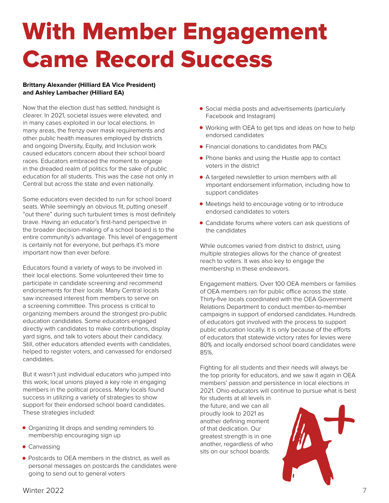## With Member Engagement Came Record Success

#### **Brittany Alexander (Hilliard EA Vice President) and Ashley Lambacher (Hilliard EA)**

Now that the election dust has settled, hindsight is clearer. In 2021, societal issues were elevated, and in many cases exploited in our local elections. In many areas, the frenzy over mask requirements and other public health measures employed by districts and ongoing Diversity, Equity, and Inclusion work caused educators concern about their school board races. Educators embraced the moment to engage in the dreaded realm of politics for the sake of public education for all students. This was the case not only in Central but across the state and even nationally.

Some educators even decided to run for school board seats. While seemingly an obvious fit, putting oneself "out there" during such turbulent times is most definitely brave. Having an educator's first-hand perspective in the broader decision-making of a school board is to the entire community's advantage. This level of engagement is certainly not for everyone, but perhaps it's more important now than ever before.

Educators found a variety of ways to be involved in their local elections. Some volunteered their time to participate in candidate screening and recommend endorsements for their locals. Many Central locals saw increased interest from members to serve on a screening committee. This process is critical to organizing members around the strongest pro-public education candidates. Some educators engaged directly with candidates to make contributions, display yard signs, and talk to voters about their candidacy. Still, other educators attended events with candidates, helped to register voters, and canvassed for endorsed candidates.

But it wasn't just individual educators who jumped into this work; local unions played a key role in engaging members in the political process. Many locals found success in utilizing a variety of strategies to show support for their endorsed school board candidates. These strategies included:

- Organizing lit drops and sending reminders to membership encouraging sign up
- Canvassing
- Postcards to OEA members in the district, as well as personal messages on postcards the candidates were going to send out to general voters
- Social media posts and advertisements (particularly Facebook and Instagram)
- Working with OEA to get tips and ideas on how to help endorsed candidates
- Financial donations to candidates from PACs
- Phone banks and using the Hustle app to contact voters in the district
- A targeted newsletter to union members with all important endorsement information, including how to support candidates
- Meetings held to encourage voting or to introduce endorsed candidates to voters
- Candidate forums where voters can ask questions of the candidates

While outcomes varied from district to district, using multiple strategies allows for the chance of greatest reach to voters. It was also key to engage the membership in these endeavors.

Engagement matters. Over 100 OEA members or families of OEA members ran for public office across the state. Thirty-five locals coordinated with the OEA Government Relations Department to conduct member-to-member campaigns in support of endorsed candidates. Hundreds of educators got involved with the process to support public education locally. It is only because of the efforts of educators that statewide victory rates for levies were 80% and locally endorsed school board candidates were 85%.

Fighting for all students and their needs will always be the top priority for educators, and we saw it again in OEA members' passion and persistence in local elections in 2021. Ohio educators will continue to pursue what is best

for students at all levels in the future, and we can all proudly look to 2021 as another defining moment of that dedication. Our greatest strength is in one another, regardless of who sits on our school boards.